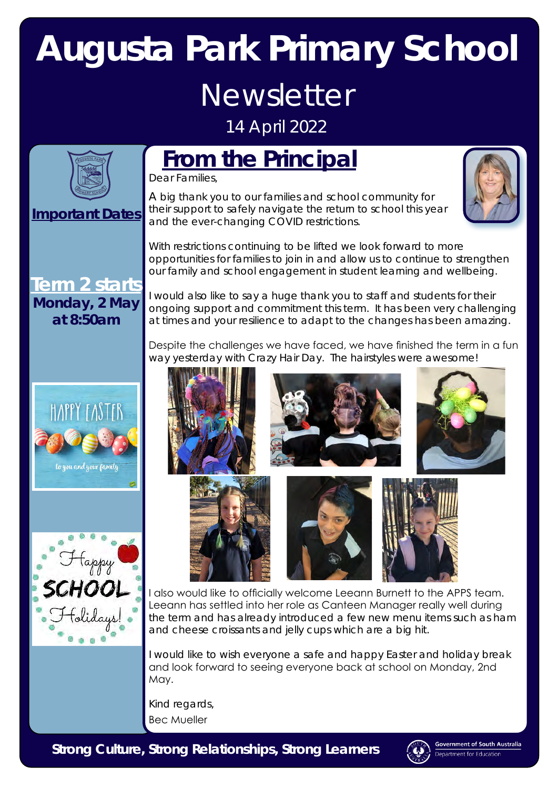# **Augusta Park Primary School** Newsletter

14 April 2022

## **From the Principal**

Dear Families,

### **Important Dates**

**Term 2 starts Monday, 2 May at 8:50am**

#### A big thank you to our families and school community for their support to safely navigate the return to school this year and the ever-changing COVID restrictions.



With restrictions continuing to be lifted we look forward to more opportunities for families to join in and allow us to continue to strengthen our family and school engagement in student learning and wellbeing.

I would also like to say a huge thank you to staff and students for their ongoing support and commitment this term. It has been very challenging at times and your resilience to adapt to the changes has been amazing.

Despite the challenges we have faced, we have finished the term in a fun way yesterday with Crazy Hair Day. The hairstyles were awesome!









to you and your family







I also would like to officially welcome Leeann Burnett to the APPS team. Leeann has settled into her role as Canteen Manager really well during the term and has already introduced a few new menu items such as ham and cheese croissants and jelly cups which are a big hit.

I would like to wish everyone a safe and happy Easter and holiday break and look forward to seeing everyone back at school on Monday, 2nd May.

Kind regards, Bec Mueller

*Strong Culture, Strong Relationships, Strong Learners*



**Government of South Australia** rtment for Education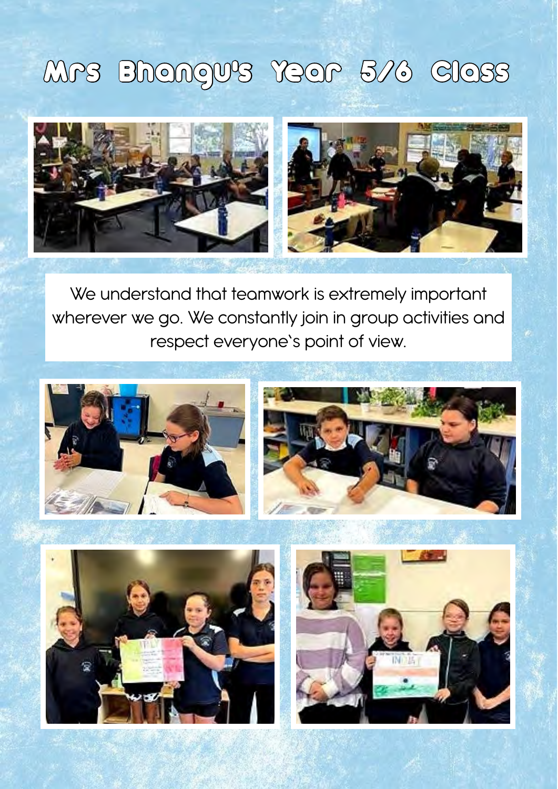## Mrs Bhangu's Year 5/6 Class



We understand that teamwork is extremely important wherever we go. We constantly join in group activities and respect everyone's point of view.





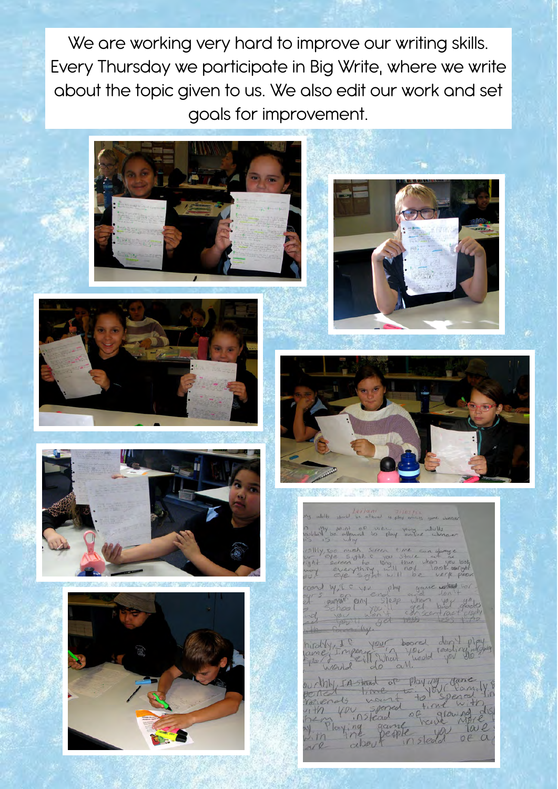We are working very hard to improve our writing skills. Every Thursday we participate in Big Write, where we write about the topic given to us. We also edit our work and set goals for improvement.









#### new Way

young adults of view

sight is you stare can get<br>every to long than the body<br>everything will help you  $\frac{1}{2}$ verk por

WIF YOU lipop einy en Sleep when SURVANT docks choo

hirdby, I & your board don't play

ourthly tristead of playing game ith you spen Playing game Tale Jith dibou  $\alpha$  $in5$